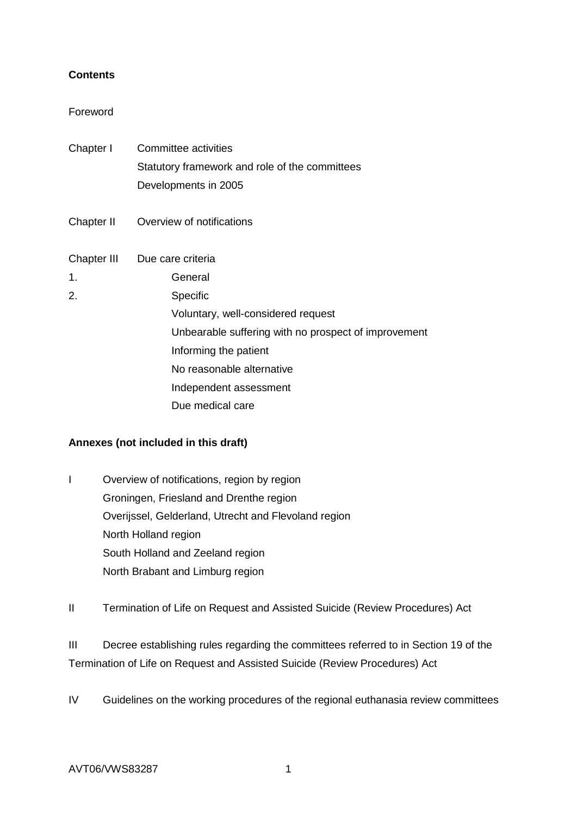## **Contents**

## Foreword

| Chapter I   | Committee activities<br>Statutory framework and role of the committees<br>Developments in 2005 |
|-------------|------------------------------------------------------------------------------------------------|
| Chapter II  | Overview of notifications                                                                      |
| Chapter III | Due care criteria                                                                              |
| 1.          | General                                                                                        |
| 2.          | Specific                                                                                       |
|             | Voluntary, well-considered request                                                             |
|             | Unbearable suffering with no prospect of improvement                                           |
|             | Informing the patient                                                                          |
|             | No reasonable alternative                                                                      |
|             | Independent assessment                                                                         |
|             | Due medical care                                                                               |

# **Annexes (not included in this draft)**

- I Overview of notifications, region by region Groningen, Friesland and Drenthe region Overijssel, Gelderland, Utrecht and Flevoland region North Holland region South Holland and Zeeland region North Brabant and Limburg region
- II Termination of Life on Request and Assisted Suicide (Review Procedures) Act

III Decree establishing rules regarding the committees referred to in Section 19 of the Termination of Life on Request and Assisted Suicide (Review Procedures) Act

IV Guidelines on the working procedures of the regional euthanasia review committees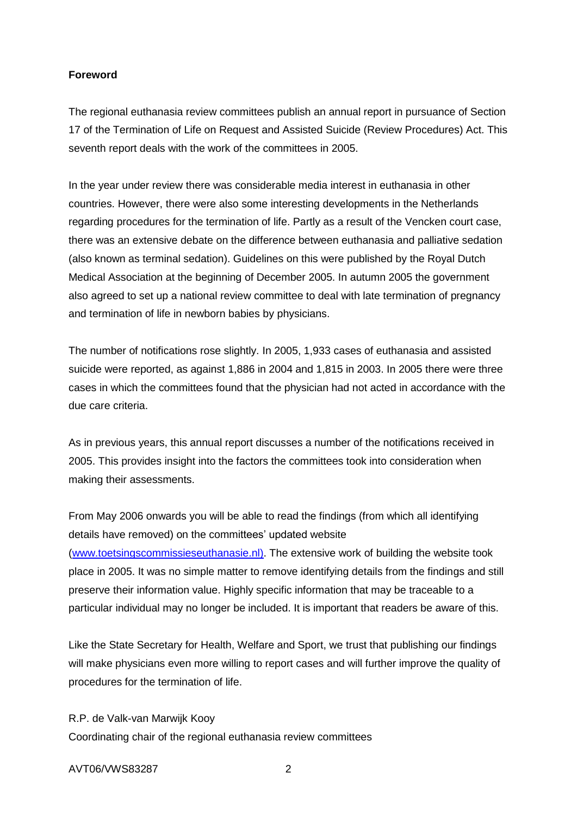## **Foreword**

The regional euthanasia review committees publish an annual report in pursuance of Section 17 of the Termination of Life on Request and Assisted Suicide (Review Procedures) Act. This seventh report deals with the work of the committees in 2005.

In the year under review there was considerable media interest in euthanasia in other countries. However, there were also some interesting developments in the Netherlands regarding procedures for the termination of life. Partly as a result of the Vencken court case, there was an extensive debate on the difference between euthanasia and palliative sedation (also known as terminal sedation). Guidelines on this were published by the Royal Dutch Medical Association at the beginning of December 2005. In autumn 2005 the government also agreed to set up a national review committee to deal with late termination of pregnancy and termination of life in newborn babies by physicians.

The number of notifications rose slightly. In 2005, 1,933 cases of euthanasia and assisted suicide were reported, as against 1,886 in 2004 and 1,815 in 2003. In 2005 there were three cases in which the committees found that the physician had not acted in accordance with the due care criteria.

As in previous years, this annual report discusses a number of the notifications received in 2005. This provides insight into the factors the committees took into consideration when making their assessments.

From May 2006 onwards you will be able to read the findings (from which all identifying details have removed) on the committees' updated website [\(www.toetsingscommissieseuthanasie.nl\).](http://www.toetstingscommissieseuthanasie.nl)/) The extensive work of building the website took place in 2005. It was no simple matter to remove identifying details from the findings and still preserve their information value. Highly specific information that may be traceable to a particular individual may no longer be included. It is important that readers be aware of this.

Like the State Secretary for Health, Welfare and Sport, we trust that publishing our findings will make physicians even more willing to report cases and will further improve the quality of procedures for the termination of life.

R.P. de Valk-van Marwijk Kooy

Coordinating chair of the regional euthanasia review committees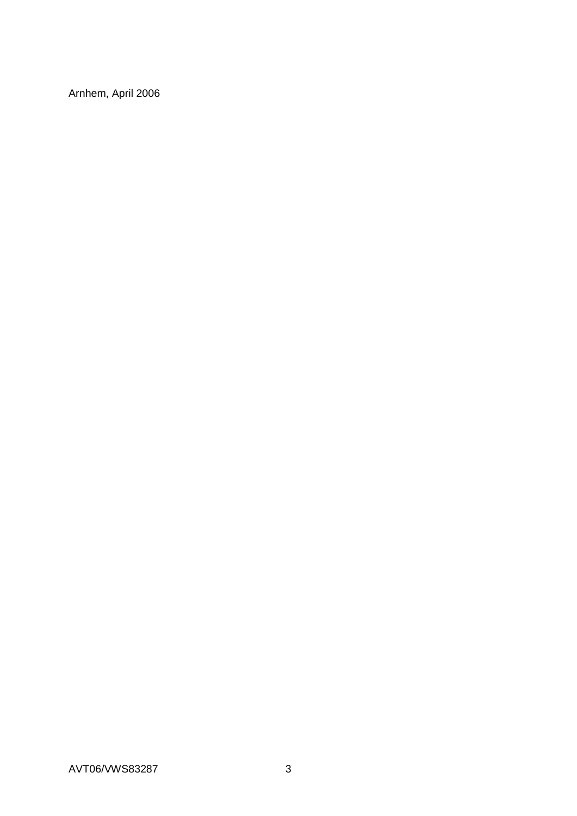Arnhem, April 2006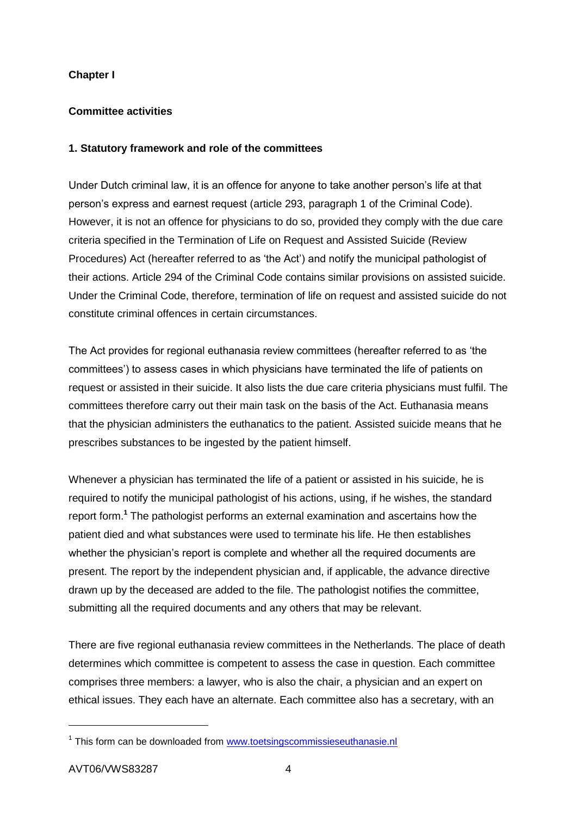# **Chapter I**

# **Committee activities**

## **1. Statutory framework and role of the committees**

Under Dutch criminal law, it is an offence for anyone to take another person's life at that person's express and earnest request (article 293, paragraph 1 of the Criminal Code). However, it is not an offence for physicians to do so, provided they comply with the due care criteria specified in the Termination of Life on Request and Assisted Suicide (Review Procedures) Act (hereafter referred to as 'the Act') and notify the municipal pathologist of their actions. Article 294 of the Criminal Code contains similar provisions on assisted suicide. Under the Criminal Code, therefore, termination of life on request and assisted suicide do not constitute criminal offences in certain circumstances.

The Act provides for regional euthanasia review committees (hereafter referred to as 'the committees') to assess cases in which physicians have terminated the life of patients on request or assisted in their suicide. It also lists the due care criteria physicians must fulfil. The committees therefore carry out their main task on the basis of the Act. Euthanasia means that the physician administers the euthanatics to the patient. Assisted suicide means that he prescribes substances to be ingested by the patient himself.

Whenever a physician has terminated the life of a patient or assisted in his suicide, he is required to notify the municipal pathologist of his actions, using, if he wishes, the standard report form.**<sup>1</sup>** The pathologist performs an external examination and ascertains how the patient died and what substances were used to terminate his life. He then establishes whether the physician's report is complete and whether all the required documents are present. The report by the independent physician and, if applicable, the advance directive drawn up by the deceased are added to the file. The pathologist notifies the committee, submitting all the required documents and any others that may be relevant.

There are five regional euthanasia review committees in the Netherlands. The place of death determines which committee is competent to assess the case in question. Each committee comprises three members: a lawyer, who is also the chair, a physician and an expert on ethical issues. They each have an alternate. Each committee also has a secretary, with an

1

<sup>&</sup>lt;sup>1</sup> This form can be downloaded from [www.toetsingscommissieseuthanasie.nl](http://www.toetsingscommissieseuthanasie.nl/)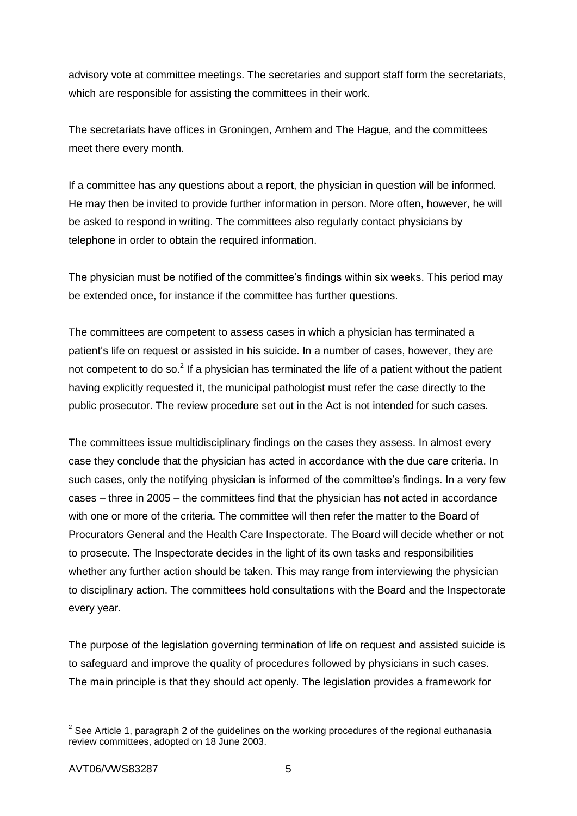advisory vote at committee meetings. The secretaries and support staff form the secretariats, which are responsible for assisting the committees in their work.

The secretariats have offices in Groningen, Arnhem and The Hague, and the committees meet there every month.

If a committee has any questions about a report, the physician in question will be informed. He may then be invited to provide further information in person. More often, however, he will be asked to respond in writing. The committees also regularly contact physicians by telephone in order to obtain the required information.

The physician must be notified of the committee's findings within six weeks. This period may be extended once, for instance if the committee has further questions.

The committees are competent to assess cases in which a physician has terminated a patient's life on request or assisted in his suicide. In a number of cases, however, they are not competent to do so.<sup>2</sup> If a physician has terminated the life of a patient without the patient having explicitly requested it, the municipal pathologist must refer the case directly to the public prosecutor. The review procedure set out in the Act is not intended for such cases.

The committees issue multidisciplinary findings on the cases they assess. In almost every case they conclude that the physician has acted in accordance with the due care criteria. In such cases, only the notifying physician is informed of the committee's findings. In a very few cases – three in 2005 – the committees find that the physician has not acted in accordance with one or more of the criteria. The committee will then refer the matter to the Board of Procurators General and the Health Care Inspectorate. The Board will decide whether or not to prosecute. The Inspectorate decides in the light of its own tasks and responsibilities whether any further action should be taken. This may range from interviewing the physician to disciplinary action. The committees hold consultations with the Board and the Inspectorate every year.

The purpose of the legislation governing termination of life on request and assisted suicide is to safeguard and improve the quality of procedures followed by physicians in such cases. The main principle is that they should act openly. The legislation provides a framework for

<sup>&</sup>lt;sup>2</sup> See Article 1, paragraph 2 of the guidelines on the working procedures of the regional euthanasia review committees, adopted on 18 June 2003.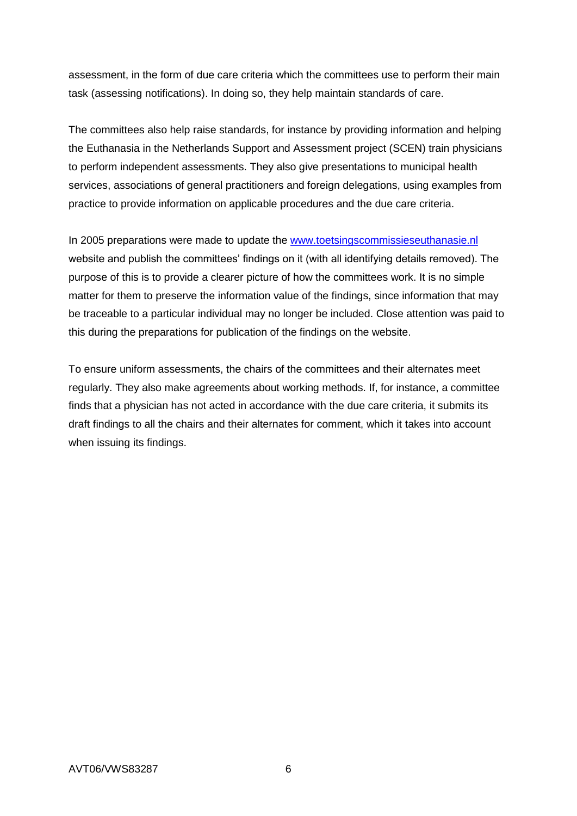assessment, in the form of due care criteria which the committees use to perform their main task (assessing notifications). In doing so, they help maintain standards of care.

The committees also help raise standards, for instance by providing information and helping the Euthanasia in the Netherlands Support and Assessment project (SCEN) train physicians to perform independent assessments. They also give presentations to municipal health services, associations of general practitioners and foreign delegations, using examples from practice to provide information on applicable procedures and the due care criteria.

In 2005 preparations were made to update the [www.toetsingscommissieseuthanasie.nl](http://www.toetsingscommissieseuthanasie.nl/) website and publish the committees' findings on it (with all identifying details removed). The purpose of this is to provide a clearer picture of how the committees work. It is no simple matter for them to preserve the information value of the findings, since information that may be traceable to a particular individual may no longer be included. Close attention was paid to this during the preparations for publication of the findings on the website.

To ensure uniform assessments, the chairs of the committees and their alternates meet regularly. They also make agreements about working methods. If, for instance, a committee finds that a physician has not acted in accordance with the due care criteria, it submits its draft findings to all the chairs and their alternates for comment, which it takes into account when issuing its findings.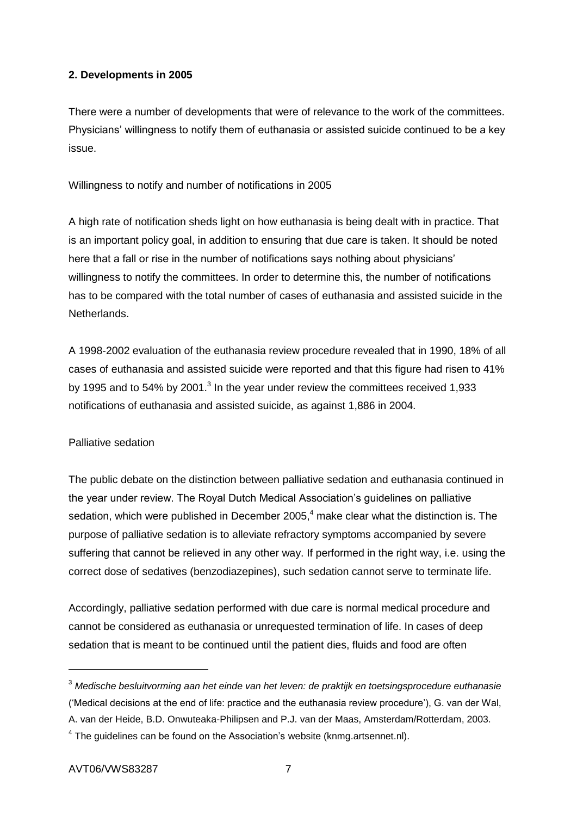# **2. Developments in 2005**

There were a number of developments that were of relevance to the work of the committees. Physicians' willingness to notify them of euthanasia or assisted suicide continued to be a key issue.

Willingness to notify and number of notifications in 2005

A high rate of notification sheds light on how euthanasia is being dealt with in practice. That is an important policy goal, in addition to ensuring that due care is taken. It should be noted here that a fall or rise in the number of notifications says nothing about physicians' willingness to notify the committees. In order to determine this, the number of notifications has to be compared with the total number of cases of euthanasia and assisted suicide in the Netherlands.

A 1998-2002 evaluation of the euthanasia review procedure revealed that in 1990, 18% of all cases of euthanasia and assisted suicide were reported and that this figure had risen to 41% by 1995 and to 54% by 2001. $3$  In the year under review the committees received 1,933 notifications of euthanasia and assisted suicide, as against 1,886 in 2004.

# Palliative sedation

The public debate on the distinction between palliative sedation and euthanasia continued in the year under review. The Royal Dutch Medical Association's guidelines on palliative sedation, which were published in December 2005.<sup>4</sup> make clear what the distinction is. The purpose of palliative sedation is to alleviate refractory symptoms accompanied by severe suffering that cannot be relieved in any other way. If performed in the right way, i.e. using the correct dose of sedatives (benzodiazepines), such sedation cannot serve to terminate life.

Accordingly, palliative sedation performed with due care is normal medical procedure and cannot be considered as euthanasia or unrequested termination of life. In cases of deep sedation that is meant to be continued until the patient dies, fluids and food are often

<sup>3</sup> *Medische besluitvorming aan het einde van het leven: de praktijk en toetsingsprocedure euthanasie* ('Medical decisions at the end of life: practice and the euthanasia review procedure'), G. van der Wal, A. van der Heide, B.D. Onwuteaka-Philipsen and P.J. van der Maas, Amsterdam/Rotterdam, 2003.

 $4$  The guidelines can be found on the Association's website (knmg.artsennet.nl).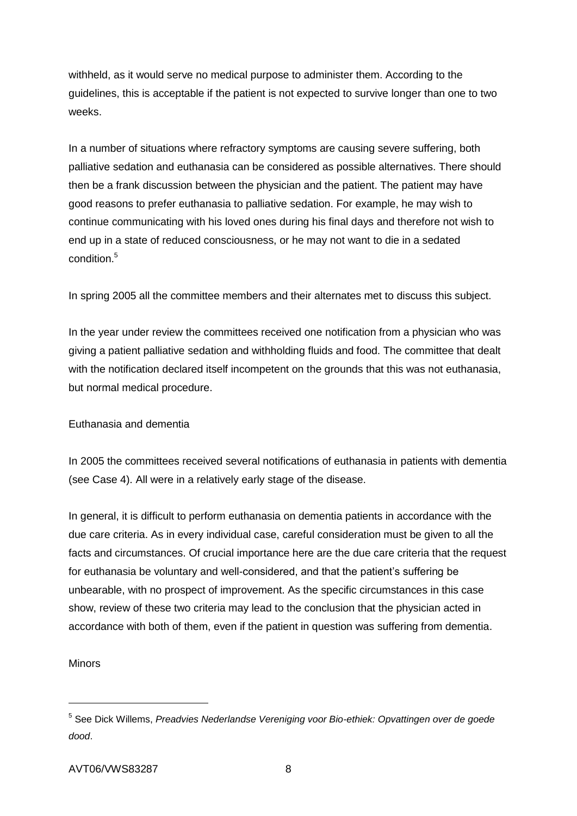withheld, as it would serve no medical purpose to administer them. According to the guidelines, this is acceptable if the patient is not expected to survive longer than one to two weeks.

In a number of situations where refractory symptoms are causing severe suffering, both palliative sedation and euthanasia can be considered as possible alternatives. There should then be a frank discussion between the physician and the patient. The patient may have good reasons to prefer euthanasia to palliative sedation. For example, he may wish to continue communicating with his loved ones during his final days and therefore not wish to end up in a state of reduced consciousness, or he may not want to die in a sedated condition<sup>5</sup>

In spring 2005 all the committee members and their alternates met to discuss this subject.

In the year under review the committees received one notification from a physician who was giving a patient palliative sedation and withholding fluids and food. The committee that dealt with the notification declared itself incompetent on the grounds that this was not euthanasia, but normal medical procedure.

# Euthanasia and dementia

In 2005 the committees received several notifications of euthanasia in patients with dementia (see Case 4). All were in a relatively early stage of the disease.

In general, it is difficult to perform euthanasia on dementia patients in accordance with the due care criteria. As in every individual case, careful consideration must be given to all the facts and circumstances. Of crucial importance here are the due care criteria that the request for euthanasia be voluntary and well-considered, and that the patient's suffering be unbearable, with no prospect of improvement. As the specific circumstances in this case show, review of these two criteria may lead to the conclusion that the physician acted in accordance with both of them, even if the patient in question was suffering from dementia.

# Minors

<sup>5</sup> See Dick Willems, *Preadvies Nederlandse Vereniging voor Bio-ethiek: Opvattingen over de goede dood*.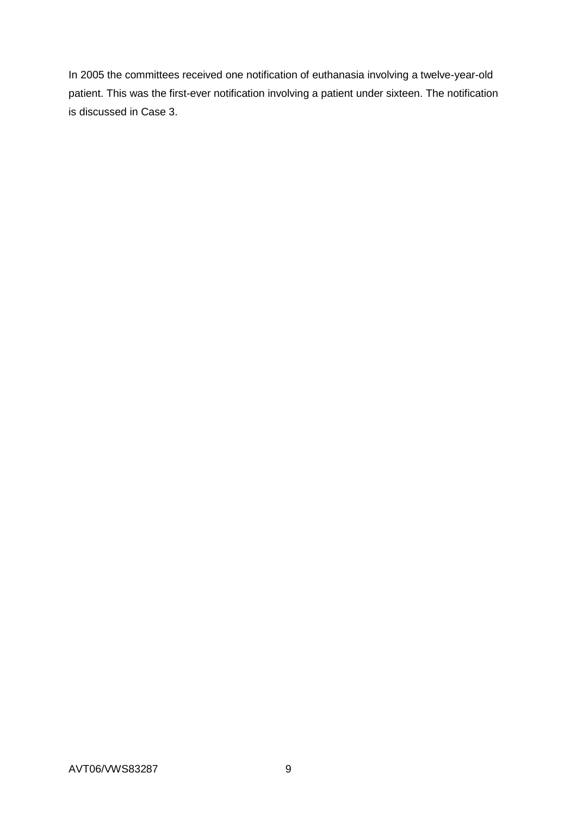In 2005 the committees received one notification of euthanasia involving a twelve-year-old patient. This was the first-ever notification involving a patient under sixteen. The notification is discussed in Case 3.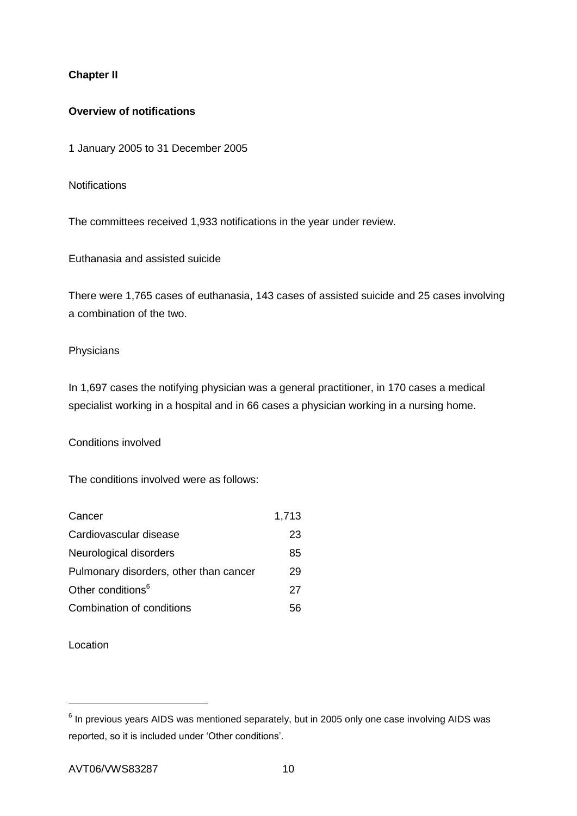# **Chapter II**

## **Overview of notifications**

1 January 2005 to 31 December 2005

**Notifications** 

The committees received 1,933 notifications in the year under review.

Euthanasia and assisted suicide

There were 1,765 cases of euthanasia, 143 cases of assisted suicide and 25 cases involving a combination of the two.

#### **Physicians**

In 1,697 cases the notifying physician was a general practitioner, in 170 cases a medical specialist working in a hospital and in 66 cases a physician working in a nursing home.

Conditions involved

The conditions involved were as follows:

| Cancer                                 | 1,713 |
|----------------------------------------|-------|
| Cardiovascular disease                 | 23    |
| Neurological disorders                 | 85    |
| Pulmonary disorders, other than cancer | 29    |
| Other conditions <sup>6</sup>          | 27    |
| Combination of conditions              | 56    |

Location

 $<sup>6</sup>$  In previous years AIDS was mentioned separately, but in 2005 only one case involving AIDS was</sup> reported, so it is included under 'Other conditions'.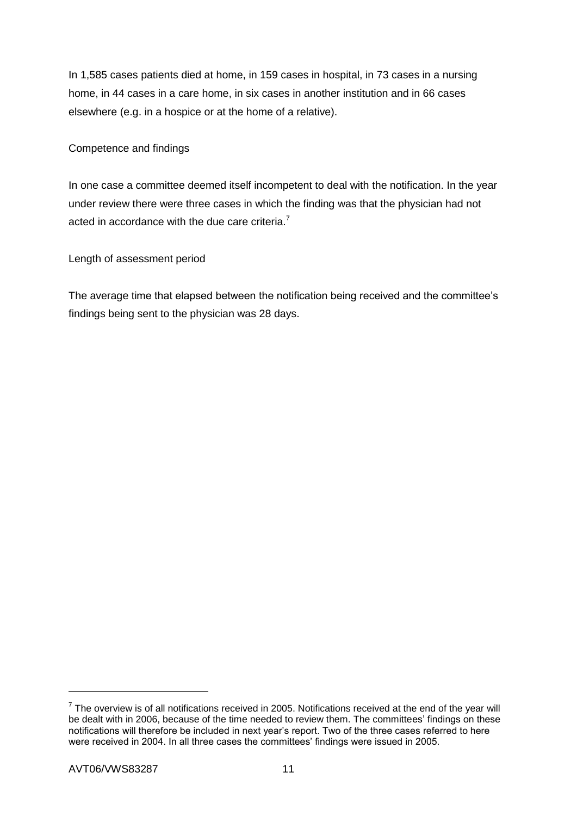In 1,585 cases patients died at home, in 159 cases in hospital, in 73 cases in a nursing home, in 44 cases in a care home, in six cases in another institution and in 66 cases elsewhere (e.g. in a hospice or at the home of a relative).

# Competence and findings

In one case a committee deemed itself incompetent to deal with the notification. In the year under review there were three cases in which the finding was that the physician had not acted in accordance with the due care criteria.<sup>7</sup>

Length of assessment period

The average time that elapsed between the notification being received and the committee's findings being sent to the physician was 28 days.

1

 $7$  The overview is of all notifications received in 2005. Notifications received at the end of the year will be dealt with in 2006, because of the time needed to review them. The committees' findings on these notifications will therefore be included in next year's report. Two of the three cases referred to here were received in 2004. In all three cases the committees' findings were issued in 2005.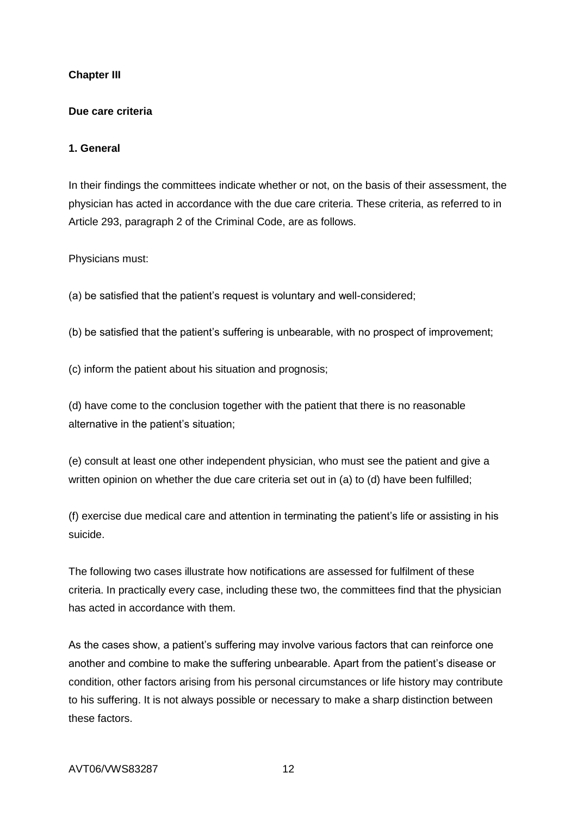## **Chapter III**

#### **Due care criteria**

#### **1. General**

In their findings the committees indicate whether or not, on the basis of their assessment, the physician has acted in accordance with the due care criteria. These criteria, as referred to in Article 293, paragraph 2 of the Criminal Code, are as follows.

Physicians must:

(a) be satisfied that the patient's request is voluntary and well-considered;

(b) be satisfied that the patient's suffering is unbearable, with no prospect of improvement;

(c) inform the patient about his situation and prognosis;

(d) have come to the conclusion together with the patient that there is no reasonable alternative in the patient's situation;

(e) consult at least one other independent physician, who must see the patient and give a written opinion on whether the due care criteria set out in (a) to (d) have been fulfilled;

(f) exercise due medical care and attention in terminating the patient's life or assisting in his suicide.

The following two cases illustrate how notifications are assessed for fulfilment of these criteria. In practically every case, including these two, the committees find that the physician has acted in accordance with them.

As the cases show, a patient's suffering may involve various factors that can reinforce one another and combine to make the suffering unbearable. Apart from the patient's disease or condition, other factors arising from his personal circumstances or life history may contribute to his suffering. It is not always possible or necessary to make a sharp distinction between these factors.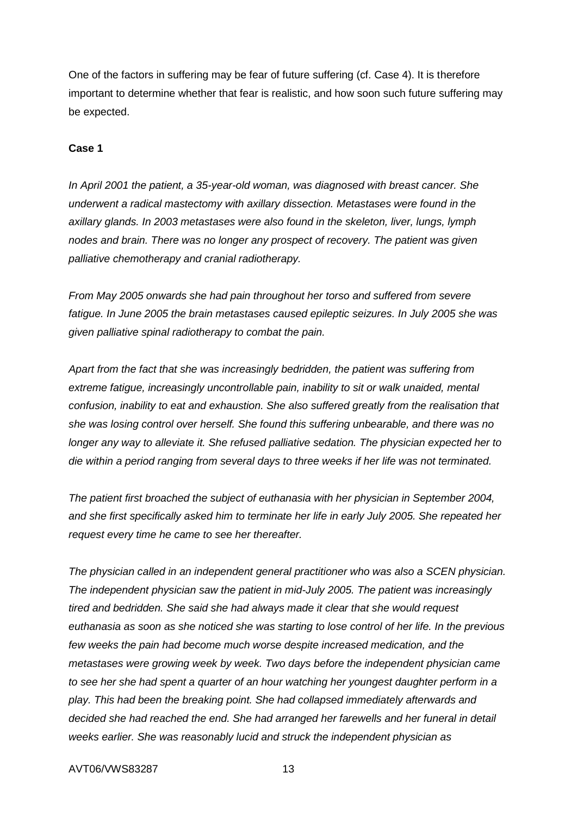One of the factors in suffering may be fear of future suffering (cf. Case 4). It is therefore important to determine whether that fear is realistic, and how soon such future suffering may be expected.

#### **Case 1**

*In April 2001 the patient, a 35-year-old woman, was diagnosed with breast cancer. She underwent a radical mastectomy with axillary dissection. Metastases were found in the axillary glands. In 2003 metastases were also found in the skeleton, liver, lungs, lymph nodes and brain. There was no longer any prospect of recovery. The patient was given palliative chemotherapy and cranial radiotherapy.*

*From May 2005 onwards she had pain throughout her torso and suffered from severe fatigue. In June 2005 the brain metastases caused epileptic seizures. In July 2005 she was given palliative spinal radiotherapy to combat the pain.*

*Apart from the fact that she was increasingly bedridden, the patient was suffering from*  extreme fatigue, increasingly uncontrollable pain, inability to sit or walk unaided, mental *confusion, inability to eat and exhaustion. She also suffered greatly from the realisation that she was losing control over herself. She found this suffering unbearable, and there was no longer any way to alleviate it. She refused palliative sedation. The physician expected her to die within a period ranging from several days to three weeks if her life was not terminated.*

*The patient first broached the subject of euthanasia with her physician in September 2004, and she first specifically asked him to terminate her life in early July 2005. She repeated her request every time he came to see her thereafter.* 

*The physician called in an independent general practitioner who was also a SCEN physician. The independent physician saw the patient in mid-July 2005. The patient was increasingly tired and bedridden. She said she had always made it clear that she would request euthanasia as soon as she noticed she was starting to lose control of her life. In the previous*  few weeks the pain had become much worse despite increased medication, and the *metastases were growing week by week. Two days before the independent physician came to see her she had spent a quarter of an hour watching her youngest daughter perform in a play. This had been the breaking point. She had collapsed immediately afterwards and decided she had reached the end. She had arranged her farewells and her funeral in detail weeks earlier. She was reasonably lucid and struck the independent physician as*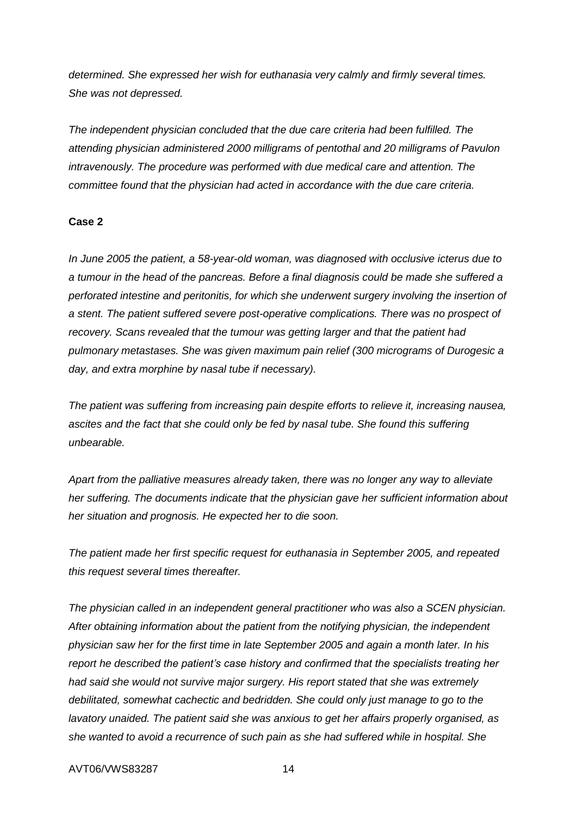*determined. She expressed her wish for euthanasia very calmly and firmly several times. She was not depressed.*

*The independent physician concluded that the due care criteria had been fulfilled. The attending physician administered 2000 milligrams of pentothal and 20 milligrams of Pavulon intravenously. The procedure was performed with due medical care and attention. The committee found that the physician had acted in accordance with the due care criteria.*

#### **Case 2**

*In June 2005 the patient, a 58-year-old woman, was diagnosed with occlusive icterus due to a tumour in the head of the pancreas. Before a final diagnosis could be made she suffered a perforated intestine and peritonitis, for which she underwent surgery involving the insertion of a stent. The patient suffered severe post-operative complications. There was no prospect of recovery. Scans revealed that the tumour was getting larger and that the patient had pulmonary metastases. She was given maximum pain relief (300 micrograms of Durogesic a day, and extra morphine by nasal tube if necessary).*

*The patient was suffering from increasing pain despite efforts to relieve it, increasing nausea, ascites and the fact that she could only be fed by nasal tube. She found this suffering unbearable.*

*Apart from the palliative measures already taken, there was no longer any way to alleviate her suffering. The documents indicate that the physician gave her sufficient information about her situation and prognosis. He expected her to die soon.*

*The patient made her first specific request for euthanasia in September 2005, and repeated this request several times thereafter.* 

*The physician called in an independent general practitioner who was also a SCEN physician. After obtaining information about the patient from the notifying physician, the independent physician saw her for the first time in late September 2005 and again a month later. In his report he described the patient's case history and confirmed that the specialists treating her had said she would not survive major surgery. His report stated that she was extremely debilitated, somewhat cachectic and bedridden. She could only just manage to go to the lavatory unaided. The patient said she was anxious to get her affairs properly organised, as she wanted to avoid a recurrence of such pain as she had suffered while in hospital. She*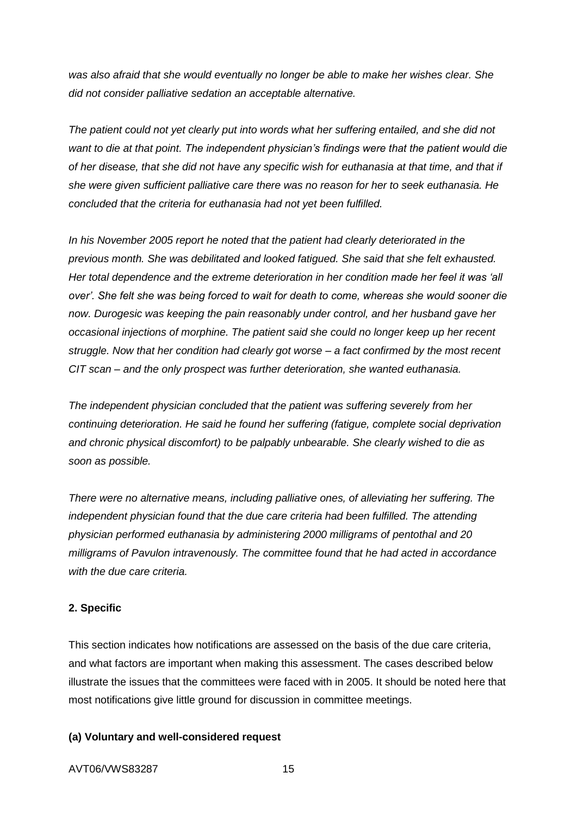*was also afraid that she would eventually no longer be able to make her wishes clear. She did not consider palliative sedation an acceptable alternative.*

*The patient could not yet clearly put into words what her suffering entailed, and she did not want to die at that point. The independent physician's findings were that the patient would die of her disease, that she did not have any specific wish for euthanasia at that time, and that if she were given sufficient palliative care there was no reason for her to seek euthanasia. He concluded that the criteria for euthanasia had not yet been fulfilled.* 

*In his November 2005 report he noted that the patient had clearly deteriorated in the previous month. She was debilitated and looked fatigued. She said that she felt exhausted. Her total dependence and the extreme deterioration in her condition made her feel it was 'all over'. She felt she was being forced to wait for death to come, whereas she would sooner die now. Durogesic was keeping the pain reasonably under control, and her husband gave her occasional injections of morphine. The patient said she could no longer keep up her recent struggle. Now that her condition had clearly got worse – a fact confirmed by the most recent CIT scan – and the only prospect was further deterioration, she wanted euthanasia.*

*The independent physician concluded that the patient was suffering severely from her continuing deterioration. He said he found her suffering (fatigue, complete social deprivation and chronic physical discomfort) to be palpably unbearable. She clearly wished to die as soon as possible.*

*There were no alternative means, including palliative ones, of alleviating her suffering. The independent physician found that the due care criteria had been fulfilled. The attending physician performed euthanasia by administering 2000 milligrams of pentothal and 20 milligrams of Pavulon intravenously. The committee found that he had acted in accordance with the due care criteria.*

#### **2. Specific**

This section indicates how notifications are assessed on the basis of the due care criteria, and what factors are important when making this assessment. The cases described below illustrate the issues that the committees were faced with in 2005. It should be noted here that most notifications give little ground for discussion in committee meetings.

#### **(a) Voluntary and well-considered request**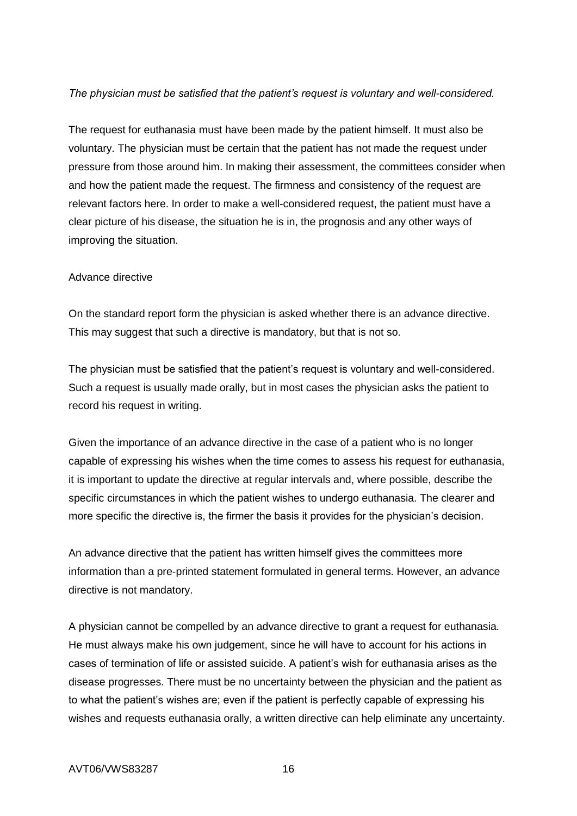#### *The physician must be satisfied that the patient's request is voluntary and well-considered.*

The request for euthanasia must have been made by the patient himself. It must also be voluntary. The physician must be certain that the patient has not made the request under pressure from those around him. In making their assessment, the committees consider when and how the patient made the request. The firmness and consistency of the request are relevant factors here. In order to make a well-considered request, the patient must have a clear picture of his disease, the situation he is in, the prognosis and any other ways of improving the situation.

#### Advance directive

On the standard report form the physician is asked whether there is an advance directive. This may suggest that such a directive is mandatory, but that is not so.

The physician must be satisfied that the patient's request is voluntary and well-considered. Such a request is usually made orally, but in most cases the physician asks the patient to record his request in writing.

Given the importance of an advance directive in the case of a patient who is no longer capable of expressing his wishes when the time comes to assess his request for euthanasia, it is important to update the directive at regular intervals and, where possible, describe the specific circumstances in which the patient wishes to undergo euthanasia. The clearer and more specific the directive is, the firmer the basis it provides for the physician's decision.

An advance directive that the patient has written himself gives the committees more information than a pre-printed statement formulated in general terms. However, an advance directive is not mandatory.

A physician cannot be compelled by an advance directive to grant a request for euthanasia. He must always make his own judgement, since he will have to account for his actions in cases of termination of life or assisted suicide. A patient's wish for euthanasia arises as the disease progresses. There must be no uncertainty between the physician and the patient as to what the patient's wishes are; even if the patient is perfectly capable of expressing his wishes and requests euthanasia orally, a written directive can help eliminate any uncertainty.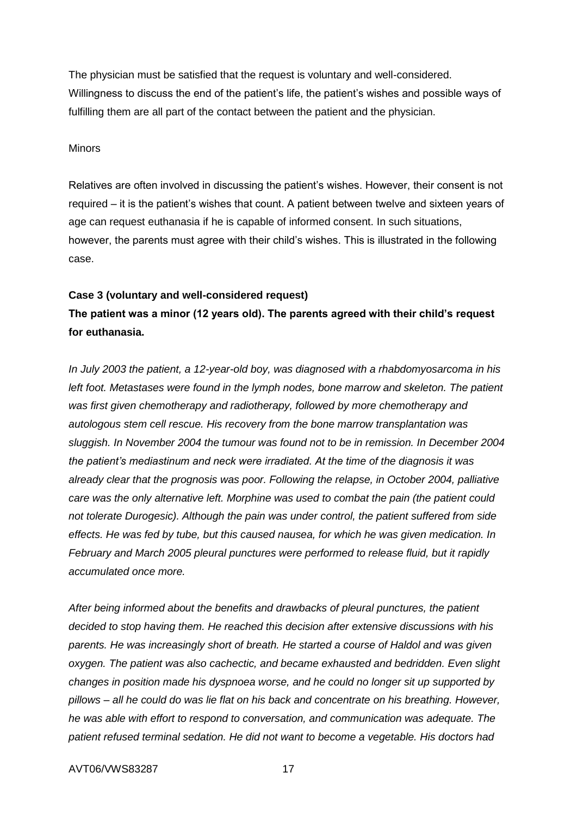The physician must be satisfied that the request is voluntary and well-considered. Willingness to discuss the end of the patient's life, the patient's wishes and possible ways of fulfilling them are all part of the contact between the patient and the physician.

#### **Minors**

Relatives are often involved in discussing the patient's wishes. However, their consent is not required – it is the patient's wishes that count. A patient between twelve and sixteen years of age can request euthanasia if he is capable of informed consent. In such situations, however, the parents must agree with their child's wishes. This is illustrated in the following case.

#### **Case 3 (voluntary and well-considered request)**

# **The patient was a minor (12 years old). The parents agreed with their child's request for euthanasia.**

*In July 2003 the patient, a 12-year-old boy, was diagnosed with a rhabdomyosarcoma in his*  left foot. Metastases were found in the lymph nodes, bone marrow and skeleton. The patient *was first given chemotherapy and radiotherapy, followed by more chemotherapy and autologous stem cell rescue. His recovery from the bone marrow transplantation was sluggish. In November 2004 the tumour was found not to be in remission. In December 2004 the patient's mediastinum and neck were irradiated. At the time of the diagnosis it was already clear that the prognosis was poor. Following the relapse, in October 2004, palliative care was the only alternative left. Morphine was used to combat the pain (the patient could not tolerate Durogesic). Although the pain was under control, the patient suffered from side effects. He was fed by tube, but this caused nausea, for which he was given medication. In February and March 2005 pleural punctures were performed to release fluid, but it rapidly accumulated once more.*

*After being informed about the benefits and drawbacks of pleural punctures, the patient decided to stop having them. He reached this decision after extensive discussions with his parents. He was increasingly short of breath. He started a course of Haldol and was given oxygen. The patient was also cachectic, and became exhausted and bedridden. Even slight changes in position made his dyspnoea worse, and he could no longer sit up supported by pillows – all he could do was lie flat on his back and concentrate on his breathing. However, he was able with effort to respond to conversation, and communication was adequate. The patient refused terminal sedation. He did not want to become a vegetable. His doctors had*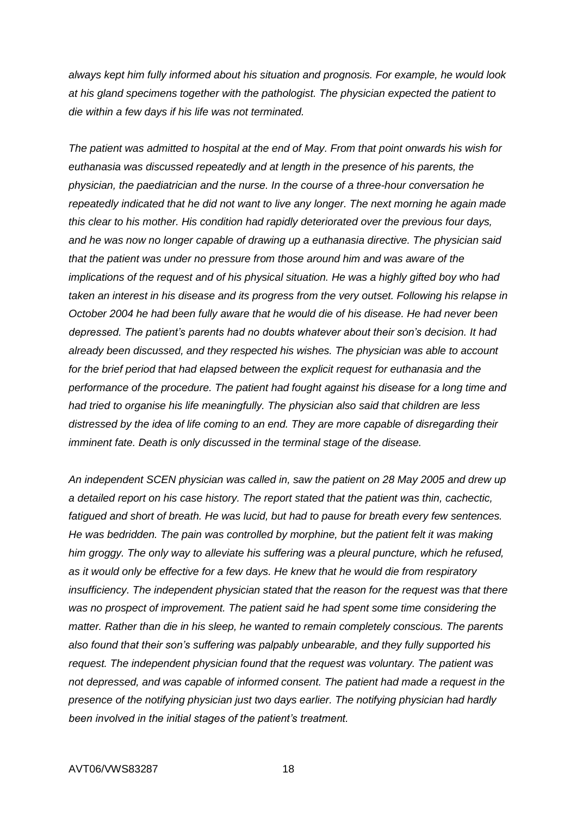*always kept him fully informed about his situation and prognosis. For example, he would look at his gland specimens together with the pathologist. The physician expected the patient to die within a few days if his life was not terminated.*

*The patient was admitted to hospital at the end of May. From that point onwards his wish for euthanasia was discussed repeatedly and at length in the presence of his parents, the physician, the paediatrician and the nurse. In the course of a three-hour conversation he repeatedly indicated that he did not want to live any longer. The next morning he again made this clear to his mother. His condition had rapidly deteriorated over the previous four days, and he was now no longer capable of drawing up a euthanasia directive. The physician said that the patient was under no pressure from those around him and was aware of the implications of the request and of his physical situation. He was a highly gifted boy who had taken an interest in his disease and its progress from the very outset. Following his relapse in October 2004 he had been fully aware that he would die of his disease. He had never been depressed. The patient's parents had no doubts whatever about their son's decision. It had already been discussed, and they respected his wishes. The physician was able to account for the brief period that had elapsed between the explicit request for euthanasia and the performance of the procedure. The patient had fought against his disease for a long time and had tried to organise his life meaningfully. The physician also said that children are less distressed by the idea of life coming to an end. They are more capable of disregarding their imminent fate. Death is only discussed in the terminal stage of the disease.*

*An independent SCEN physician was called in, saw the patient on 28 May 2005 and drew up a detailed report on his case history. The report stated that the patient was thin, cachectic, fatigued and short of breath. He was lucid, but had to pause for breath every few sentences. He was bedridden. The pain was controlled by morphine, but the patient felt it was making him groggy. The only way to alleviate his suffering was a pleural puncture, which he refused, as it would only be effective for a few days. He knew that he would die from respiratory insufficiency. The independent physician stated that the reason for the request was that there was no prospect of improvement. The patient said he had spent some time considering the matter. Rather than die in his sleep, he wanted to remain completely conscious. The parents also found that their son's suffering was palpably unbearable, and they fully supported his request. The independent physician found that the request was voluntary. The patient was not depressed, and was capable of informed consent. The patient had made a request in the presence of the notifying physician just two days earlier. The notifying physician had hardly been involved in the initial stages of the patient's treatment.*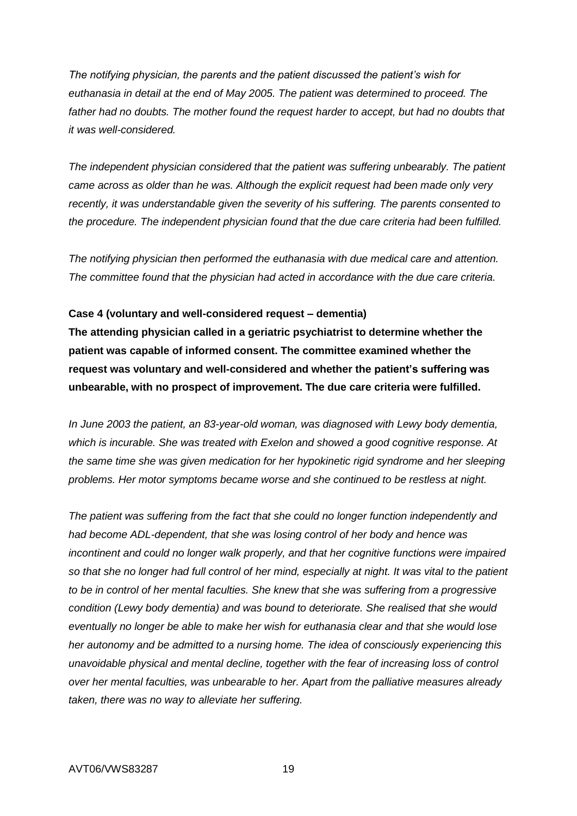*The notifying physician, the parents and the patient discussed the patient's wish for euthanasia in detail at the end of May 2005. The patient was determined to proceed. The*  father had no doubts. The mother found the request harder to accept, but had no doubts that *it was well-considered.*

*The independent physician considered that the patient was suffering unbearably. The patient came across as older than he was. Although the explicit request had been made only very recently, it was understandable given the severity of his suffering. The parents consented to the procedure. The independent physician found that the due care criteria had been fulfilled.*

*The notifying physician then performed the euthanasia with due medical care and attention. The committee found that the physician had acted in accordance with the due care criteria.*

## **Case 4 (voluntary and well-considered request – dementia)**

**The attending physician called in a geriatric psychiatrist to determine whether the patient was capable of informed consent. The committee examined whether the request was voluntary and well-considered and whether the patient's suffering was unbearable, with no prospect of improvement. The due care criteria were fulfilled.**

*In June 2003 the patient, an 83-year-old woman, was diagnosed with Lewy body dementia, which is incurable. She was treated with Exelon and showed a good cognitive response. At the same time she was given medication for her hypokinetic rigid syndrome and her sleeping problems. Her motor symptoms became worse and she continued to be restless at night.*

*The patient was suffering from the fact that she could no longer function independently and had become ADL-dependent, that she was losing control of her body and hence was incontinent and could no longer walk properly, and that her cognitive functions were impaired so that she no longer had full control of her mind, especially at night. It was vital to the patient to be in control of her mental faculties. She knew that she was suffering from a progressive condition (Lewy body dementia) and was bound to deteriorate. She realised that she would eventually no longer be able to make her wish for euthanasia clear and that she would lose her autonomy and be admitted to a nursing home. The idea of consciously experiencing this unavoidable physical and mental decline, together with the fear of increasing loss of control over her mental faculties, was unbearable to her. Apart from the palliative measures already taken, there was no way to alleviate her suffering.*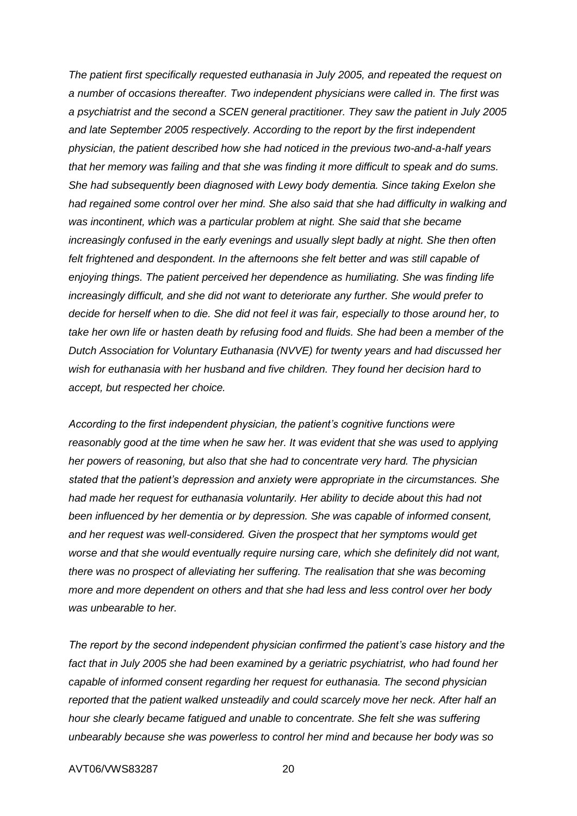*The patient first specifically requested euthanasia in July 2005, and repeated the request on a number of occasions thereafter. Two independent physicians were called in. The first was a psychiatrist and the second a SCEN general practitioner. They saw the patient in July 2005 and late September 2005 respectively. According to the report by the first independent physician, the patient described how she had noticed in the previous two-and-a-half years that her memory was failing and that she was finding it more difficult to speak and do sums. She had subsequently been diagnosed with Lewy body dementia. Since taking Exelon she had regained some control over her mind. She also said that she had difficulty in walking and was incontinent, which was a particular problem at night. She said that she became increasingly confused in the early evenings and usually slept badly at night. She then often*  felt frightened and despondent. In the afternoons she felt better and was still capable of *enjoying things. The patient perceived her dependence as humiliating. She was finding life increasingly difficult, and she did not want to deteriorate any further. She would prefer to decide for herself when to die. She did not feel it was fair, especially to those around her, to take her own life or hasten death by refusing food and fluids. She had been a member of the Dutch Association for Voluntary Euthanasia (NVVE) for twenty years and had discussed her wish for euthanasia with her husband and five children. They found her decision hard to accept, but respected her choice.*

*According to the first independent physician, the patient's cognitive functions were reasonably good at the time when he saw her. It was evident that she was used to applying her powers of reasoning, but also that she had to concentrate very hard. The physician stated that the patient's depression and anxiety were appropriate in the circumstances. She had made her request for euthanasia voluntarily. Her ability to decide about this had not been influenced by her dementia or by depression. She was capable of informed consent, and her request was well-considered. Given the prospect that her symptoms would get worse and that she would eventually require nursing care, which she definitely did not want, there was no prospect of alleviating her suffering. The realisation that she was becoming more and more dependent on others and that she had less and less control over her body was unbearable to her.* 

*The report by the second independent physician confirmed the patient's case history and the*  fact that in July 2005 she had been examined by a geriatric psychiatrist, who had found her *capable of informed consent regarding her request for euthanasia. The second physician reported that the patient walked unsteadily and could scarcely move her neck. After half an hour she clearly became fatigued and unable to concentrate. She felt she was suffering unbearably because she was powerless to control her mind and because her body was so*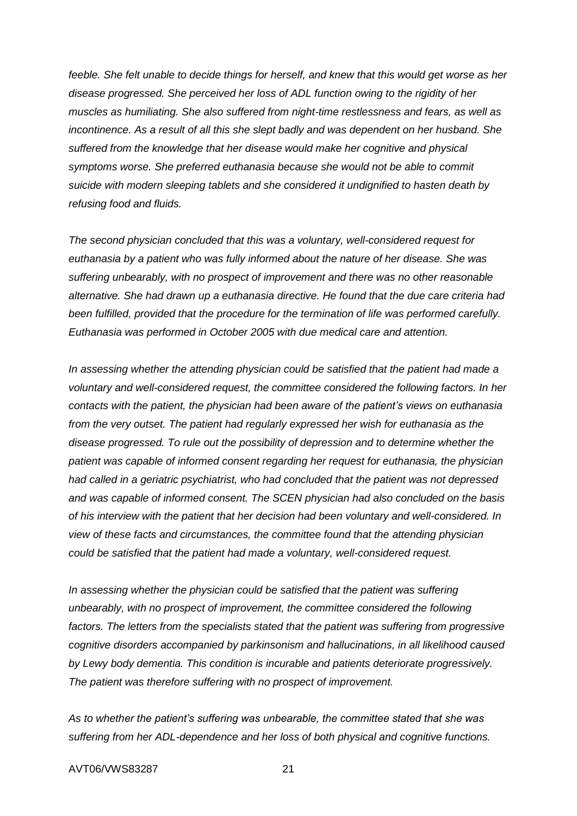feeble. She felt unable to decide things for herself, and knew that this would get worse as her *disease progressed. She perceived her loss of ADL function owing to the rigidity of her muscles as humiliating. She also suffered from night-time restlessness and fears, as well as incontinence. As a result of all this she slept badly and was dependent on her husband. She suffered from the knowledge that her disease would make her cognitive and physical symptoms worse. She preferred euthanasia because she would not be able to commit suicide with modern sleeping tablets and she considered it undignified to hasten death by refusing food and fluids.*

*The second physician concluded that this was a voluntary, well-considered request for euthanasia by a patient who was fully informed about the nature of her disease. She was suffering unbearably, with no prospect of improvement and there was no other reasonable alternative. She had drawn up a euthanasia directive. He found that the due care criteria had been fulfilled, provided that the procedure for the termination of life was performed carefully. Euthanasia was performed in October 2005 with due medical care and attention.*

*In assessing whether the attending physician could be satisfied that the patient had made a voluntary and well-considered request, the committee considered the following factors. In her contacts with the patient, the physician had been aware of the patient's views on euthanasia from the very outset. The patient had regularly expressed her wish for euthanasia as the disease progressed. To rule out the possibility of depression and to determine whether the patient was capable of informed consent regarding her request for euthanasia, the physician had called in a geriatric psychiatrist, who had concluded that the patient was not depressed and was capable of informed consent. The SCEN physician had also concluded on the basis of his interview with the patient that her decision had been voluntary and well-considered. In view of these facts and circumstances, the committee found that the attending physician could be satisfied that the patient had made a voluntary, well-considered request.* 

*In assessing whether the physician could be satisfied that the patient was suffering unbearably, with no prospect of improvement, the committee considered the following*  factors. The letters from the specialists stated that the patient was suffering from progressive *cognitive disorders accompanied by parkinsonism and hallucinations, in all likelihood caused by Lewy body dementia. This condition is incurable and patients deteriorate progressively. The patient was therefore suffering with no prospect of improvement.*

*As to whether the patient's suffering was unbearable, the committee stated that she was suffering from her ADL-dependence and her loss of both physical and cognitive functions.*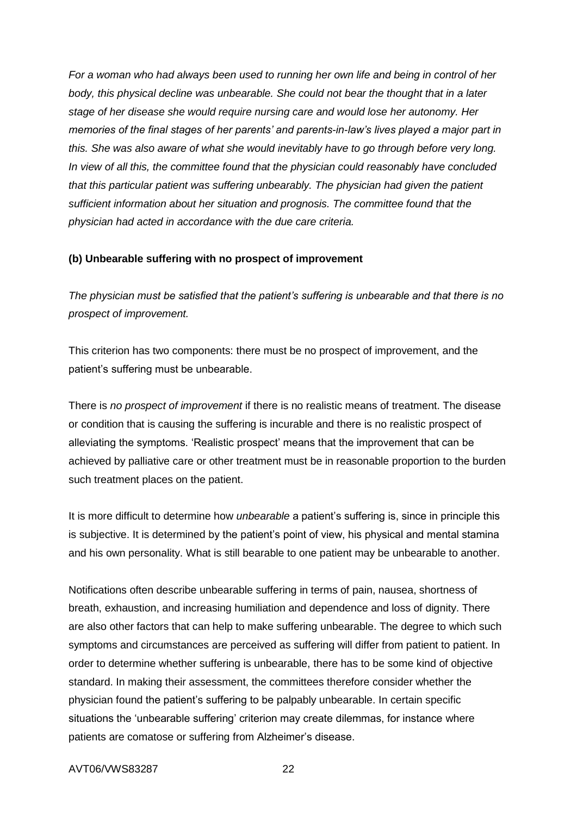*For a woman who had always been used to running her own life and being in control of her body, this physical decline was unbearable. She could not bear the thought that in a later stage of her disease she would require nursing care and would lose her autonomy. Her memories of the final stages of her parents' and parents-in-law's lives played a major part in this. She was also aware of what she would inevitably have to go through before very long. In view of all this, the committee found that the physician could reasonably have concluded that this particular patient was suffering unbearably. The physician had given the patient sufficient information about her situation and prognosis. The committee found that the physician had acted in accordance with the due care criteria.*

#### **(b) Unbearable suffering with no prospect of improvement**

*The physician must be satisfied that the patient's suffering is unbearable and that there is no prospect of improvement.*

This criterion has two components: there must be no prospect of improvement, and the patient's suffering must be unbearable.

There is *no prospect of improvement* if there is no realistic means of treatment. The disease or condition that is causing the suffering is incurable and there is no realistic prospect of alleviating the symptoms. 'Realistic prospect' means that the improvement that can be achieved by palliative care or other treatment must be in reasonable proportion to the burden such treatment places on the patient.

It is more difficult to determine how *unbearable* a patient's suffering is, since in principle this is subjective. It is determined by the patient's point of view, his physical and mental stamina and his own personality. What is still bearable to one patient may be unbearable to another.

Notifications often describe unbearable suffering in terms of pain, nausea, shortness of breath, exhaustion, and increasing humiliation and dependence and loss of dignity. There are also other factors that can help to make suffering unbearable. The degree to which such symptoms and circumstances are perceived as suffering will differ from patient to patient. In order to determine whether suffering is unbearable, there has to be some kind of objective standard. In making their assessment, the committees therefore consider whether the physician found the patient's suffering to be palpably unbearable. In certain specific situations the 'unbearable suffering' criterion may create dilemmas, for instance where patients are comatose or suffering from Alzheimer's disease.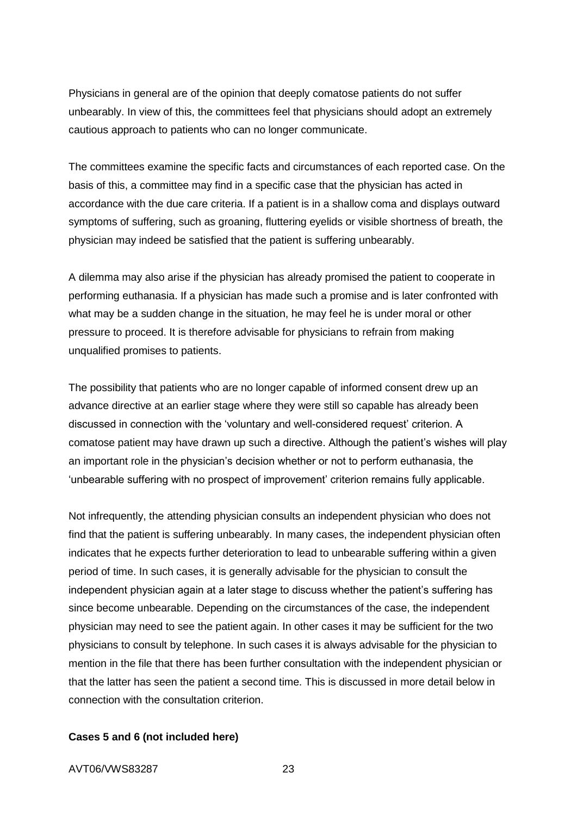Physicians in general are of the opinion that deeply comatose patients do not suffer unbearably. In view of this, the committees feel that physicians should adopt an extremely cautious approach to patients who can no longer communicate.

The committees examine the specific facts and circumstances of each reported case. On the basis of this, a committee may find in a specific case that the physician has acted in accordance with the due care criteria. If a patient is in a shallow coma and displays outward symptoms of suffering, such as groaning, fluttering eyelids or visible shortness of breath, the physician may indeed be satisfied that the patient is suffering unbearably.

A dilemma may also arise if the physician has already promised the patient to cooperate in performing euthanasia. If a physician has made such a promise and is later confronted with what may be a sudden change in the situation, he may feel he is under moral or other pressure to proceed. It is therefore advisable for physicians to refrain from making unqualified promises to patients.

The possibility that patients who are no longer capable of informed consent drew up an advance directive at an earlier stage where they were still so capable has already been discussed in connection with the 'voluntary and well-considered request' criterion. A comatose patient may have drawn up such a directive. Although the patient's wishes will play an important role in the physician's decision whether or not to perform euthanasia, the 'unbearable suffering with no prospect of improvement' criterion remains fully applicable.

Not infrequently, the attending physician consults an independent physician who does not find that the patient is suffering unbearably. In many cases, the independent physician often indicates that he expects further deterioration to lead to unbearable suffering within a given period of time. In such cases, it is generally advisable for the physician to consult the independent physician again at a later stage to discuss whether the patient's suffering has since become unbearable. Depending on the circumstances of the case, the independent physician may need to see the patient again. In other cases it may be sufficient for the two physicians to consult by telephone. In such cases it is always advisable for the physician to mention in the file that there has been further consultation with the independent physician or that the latter has seen the patient a second time. This is discussed in more detail below in connection with the consultation criterion.

#### **Cases 5 and 6 (not included here)**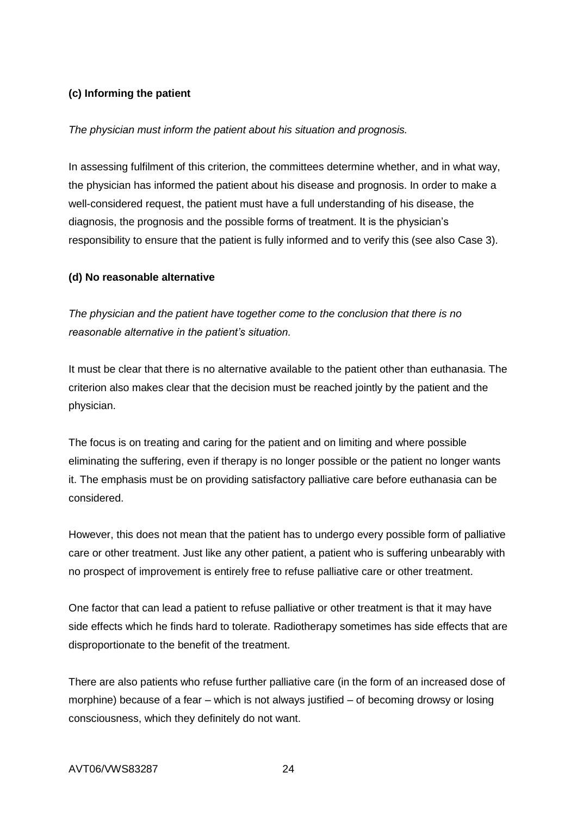## **(c) Informing the patient**

#### *The physician must inform the patient about his situation and prognosis.*

In assessing fulfilment of this criterion, the committees determine whether, and in what way, the physician has informed the patient about his disease and prognosis. In order to make a well-considered request, the patient must have a full understanding of his disease, the diagnosis, the prognosis and the possible forms of treatment. It is the physician's responsibility to ensure that the patient is fully informed and to verify this (see also Case 3).

#### **(d) No reasonable alternative**

*The physician and the patient have together come to the conclusion that there is no reasonable alternative in the patient's situation.*

It must be clear that there is no alternative available to the patient other than euthanasia. The criterion also makes clear that the decision must be reached jointly by the patient and the physician.

The focus is on treating and caring for the patient and on limiting and where possible eliminating the suffering, even if therapy is no longer possible or the patient no longer wants it. The emphasis must be on providing satisfactory palliative care before euthanasia can be considered.

However, this does not mean that the patient has to undergo every possible form of palliative care or other treatment. Just like any other patient, a patient who is suffering unbearably with no prospect of improvement is entirely free to refuse palliative care or other treatment.

One factor that can lead a patient to refuse palliative or other treatment is that it may have side effects which he finds hard to tolerate. Radiotherapy sometimes has side effects that are disproportionate to the benefit of the treatment.

There are also patients who refuse further palliative care (in the form of an increased dose of morphine) because of a fear – which is not always justified – of becoming drowsy or losing consciousness, which they definitely do not want.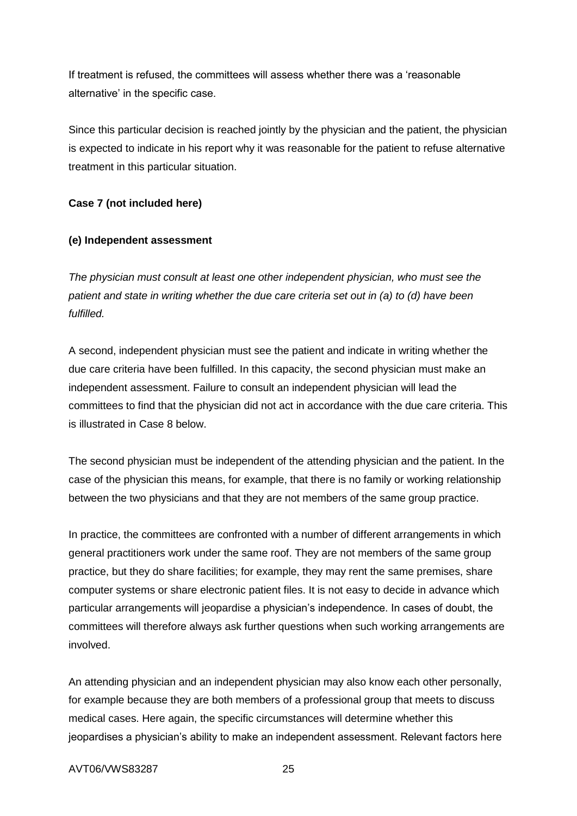If treatment is refused, the committees will assess whether there was a 'reasonable alternative' in the specific case.

Since this particular decision is reached jointly by the physician and the patient, the physician is expected to indicate in his report why it was reasonable for the patient to refuse alternative treatment in this particular situation.

# **Case 7 (not included here)**

## **(e) Independent assessment**

*The physician must consult at least one other independent physician, who must see the patient and state in writing whether the due care criteria set out in (a) to (d) have been fulfilled.*

A second, independent physician must see the patient and indicate in writing whether the due care criteria have been fulfilled. In this capacity, the second physician must make an independent assessment. Failure to consult an independent physician will lead the committees to find that the physician did not act in accordance with the due care criteria. This is illustrated in Case 8 below.

The second physician must be independent of the attending physician and the patient. In the case of the physician this means, for example, that there is no family or working relationship between the two physicians and that they are not members of the same group practice.

In practice, the committees are confronted with a number of different arrangements in which general practitioners work under the same roof. They are not members of the same group practice, but they do share facilities; for example, they may rent the same premises, share computer systems or share electronic patient files. It is not easy to decide in advance which particular arrangements will jeopardise a physician's independence. In cases of doubt, the committees will therefore always ask further questions when such working arrangements are involved.

An attending physician and an independent physician may also know each other personally, for example because they are both members of a professional group that meets to discuss medical cases. Here again, the specific circumstances will determine whether this jeopardises a physician's ability to make an independent assessment. Relevant factors here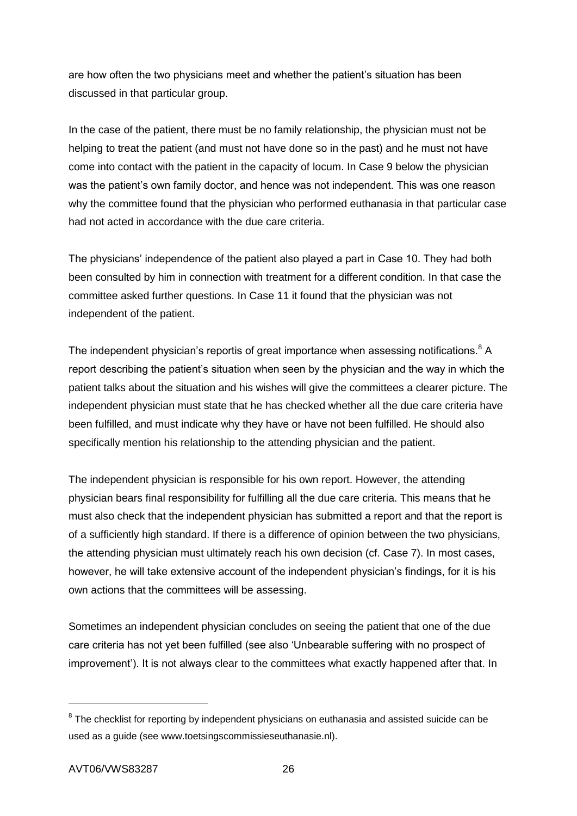are how often the two physicians meet and whether the patient's situation has been discussed in that particular group.

In the case of the patient, there must be no family relationship, the physician must not be helping to treat the patient (and must not have done so in the past) and he must not have come into contact with the patient in the capacity of locum. In Case 9 below the physician was the patient's own family doctor, and hence was not independent. This was one reason why the committee found that the physician who performed euthanasia in that particular case had not acted in accordance with the due care criteria.

The physicians' independence of the patient also played a part in Case 10. They had both been consulted by him in connection with treatment for a different condition. In that case the committee asked further questions. In Case 11 it found that the physician was not independent of the patient.

The independent physician's reportis of great importance when assessing notifications.<sup>8</sup> A report describing the patient's situation when seen by the physician and the way in which the patient talks about the situation and his wishes will give the committees a clearer picture. The independent physician must state that he has checked whether all the due care criteria have been fulfilled, and must indicate why they have or have not been fulfilled. He should also specifically mention his relationship to the attending physician and the patient.

The independent physician is responsible for his own report. However, the attending physician bears final responsibility for fulfilling all the due care criteria. This means that he must also check that the independent physician has submitted a report and that the report is of a sufficiently high standard. If there is a difference of opinion between the two physicians, the attending physician must ultimately reach his own decision (cf. Case 7). In most cases, however, he will take extensive account of the independent physician's findings, for it is his own actions that the committees will be assessing.

Sometimes an independent physician concludes on seeing the patient that one of the due care criteria has not yet been fulfilled (see also 'Unbearable suffering with no prospect of improvement'). It is not always clear to the committees what exactly happened after that. In

 $8$  The checklist for reporting by independent physicians on euthanasia and assisted suicide can be used as a guide (see www.toetsingscommissieseuthanasie.nl).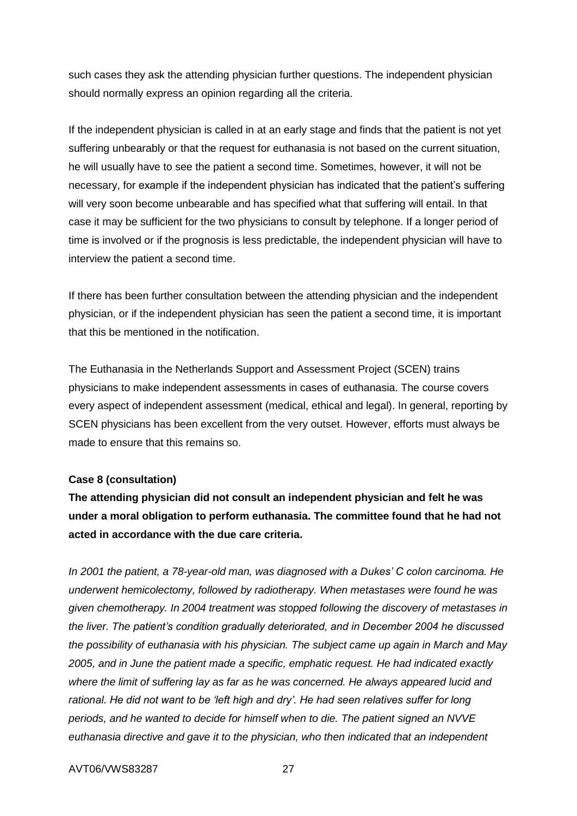such cases they ask the attending physician further questions. The independent physician should normally express an opinion regarding all the criteria.

If the independent physician is called in at an early stage and finds that the patient is not yet suffering unbearably or that the request for euthanasia is not based on the current situation, he will usually have to see the patient a second time. Sometimes, however, it will not be necessary, for example if the independent physician has indicated that the patient's suffering will very soon become unbearable and has specified what that suffering will entail. In that case it may be sufficient for the two physicians to consult by telephone. If a longer period of time is involved or if the prognosis is less predictable, the independent physician will have to interview the patient a second time.

If there has been further consultation between the attending physician and the independent physician, or if the independent physician has seen the patient a second time, it is important that this be mentioned in the notification.

The Euthanasia in the Netherlands Support and Assessment Project (SCEN) trains physicians to make independent assessments in cases of euthanasia. The course covers every aspect of independent assessment (medical, ethical and legal). In general, reporting by SCEN physicians has been excellent from the very outset. However, efforts must always be made to ensure that this remains so.

#### **Case 8 (consultation)**

**The attending physician did not consult an independent physician and felt he was under a moral obligation to perform euthanasia. The committee found that he had not acted in accordance with the due care criteria.**

*In 2001 the patient, a 78-year-old man, was diagnosed with a Dukes' C colon carcinoma. He underwent hemicolectomy, followed by radiotherapy. When metastases were found he was given chemotherapy. In 2004 treatment was stopped following the discovery of metastases in the liver. The patient's condition gradually deteriorated, and in December 2004 he discussed the possibility of euthanasia with his physician. The subject came up again in March and May 2005, and in June the patient made a specific, emphatic request. He had indicated exactly where the limit of suffering lay as far as he was concerned. He always appeared lucid and rational. He did not want to be 'left high and dry'. He had seen relatives suffer for long periods, and he wanted to decide for himself when to die. The patient signed an NVVE euthanasia directive and gave it to the physician, who then indicated that an independent*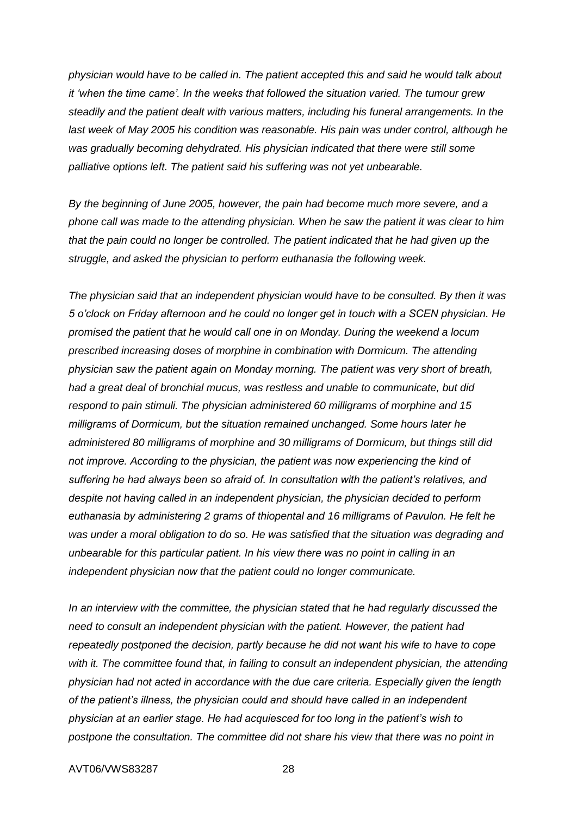*physician would have to be called in. The patient accepted this and said he would talk about it 'when the time came'. In the weeks that followed the situation varied. The tumour grew steadily and the patient dealt with various matters, including his funeral arrangements. In the last week of May 2005 his condition was reasonable. His pain was under control, although he was gradually becoming dehydrated. His physician indicated that there were still some palliative options left. The patient said his suffering was not yet unbearable.* 

*By the beginning of June 2005, however, the pain had become much more severe, and a phone call was made to the attending physician. When he saw the patient it was clear to him that the pain could no longer be controlled. The patient indicated that he had given up the struggle, and asked the physician to perform euthanasia the following week.*

*The physician said that an independent physician would have to be consulted. By then it was 5 o'clock on Friday afternoon and he could no longer get in touch with a SCEN physician. He promised the patient that he would call one in on Monday. During the weekend a locum prescribed increasing doses of morphine in combination with Dormicum. The attending physician saw the patient again on Monday morning. The patient was very short of breath, had a great deal of bronchial mucus, was restless and unable to communicate, but did respond to pain stimuli. The physician administered 60 milligrams of morphine and 15 milligrams of Dormicum, but the situation remained unchanged. Some hours later he administered 80 milligrams of morphine and 30 milligrams of Dormicum, but things still did not improve. According to the physician, the patient was now experiencing the kind of suffering he had always been so afraid of. In consultation with the patient's relatives, and despite not having called in an independent physician, the physician decided to perform euthanasia by administering 2 grams of thiopental and 16 milligrams of Pavulon. He felt he was under a moral obligation to do so. He was satisfied that the situation was degrading and unbearable for this particular patient. In his view there was no point in calling in an independent physician now that the patient could no longer communicate.*

*In an interview with the committee, the physician stated that he had regularly discussed the need to consult an independent physician with the patient. However, the patient had repeatedly postponed the decision, partly because he did not want his wife to have to cope with it. The committee found that, in failing to consult an independent physician, the attending physician had not acted in accordance with the due care criteria. Especially given the length of the patient's illness, the physician could and should have called in an independent physician at an earlier stage. He had acquiesced for too long in the patient's wish to postpone the consultation. The committee did not share his view that there was no point in*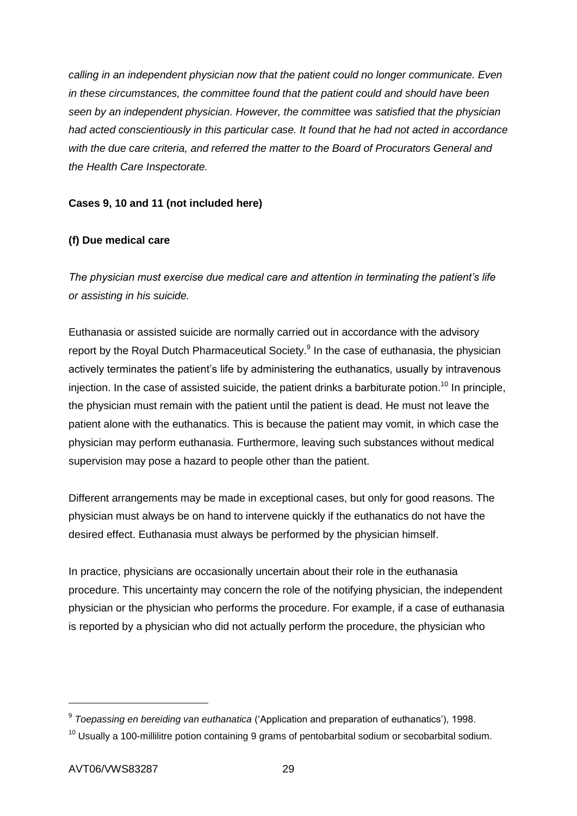*calling in an independent physician now that the patient could no longer communicate. Even in these circumstances, the committee found that the patient could and should have been seen by an independent physician. However, the committee was satisfied that the physician had acted conscientiously in this particular case. It found that he had not acted in accordance with the due care criteria, and referred the matter to the Board of Procurators General and the Health Care Inspectorate.*

## **Cases 9, 10 and 11 (not included here)**

# **(f) Due medical care**

*The physician must exercise due medical care and attention in terminating the patient's life or assisting in his suicide.*

Euthanasia or assisted suicide are normally carried out in accordance with the advisory report by the Royal Dutch Pharmaceutical Society.<sup>9</sup> In the case of euthanasia, the physician actively terminates the patient's life by administering the euthanatics, usually by intravenous injection. In the case of assisted suicide, the patient drinks a barbiturate potion.<sup>10</sup> In principle, the physician must remain with the patient until the patient is dead. He must not leave the patient alone with the euthanatics. This is because the patient may vomit, in which case the physician may perform euthanasia. Furthermore, leaving such substances without medical supervision may pose a hazard to people other than the patient.

Different arrangements may be made in exceptional cases, but only for good reasons. The physician must always be on hand to intervene quickly if the euthanatics do not have the desired effect. Euthanasia must always be performed by the physician himself.

In practice, physicians are occasionally uncertain about their role in the euthanasia procedure. This uncertainty may concern the role of the notifying physician, the independent physician or the physician who performs the procedure. For example, if a case of euthanasia is reported by a physician who did not actually perform the procedure, the physician who

<sup>9</sup> *Toepassing en bereiding van euthanatica* ('Application and preparation of euthanatics'), 1998.

 $10$  Usually a 100-millilitre potion containing 9 grams of pentobarbital sodium or secobarbital sodium.